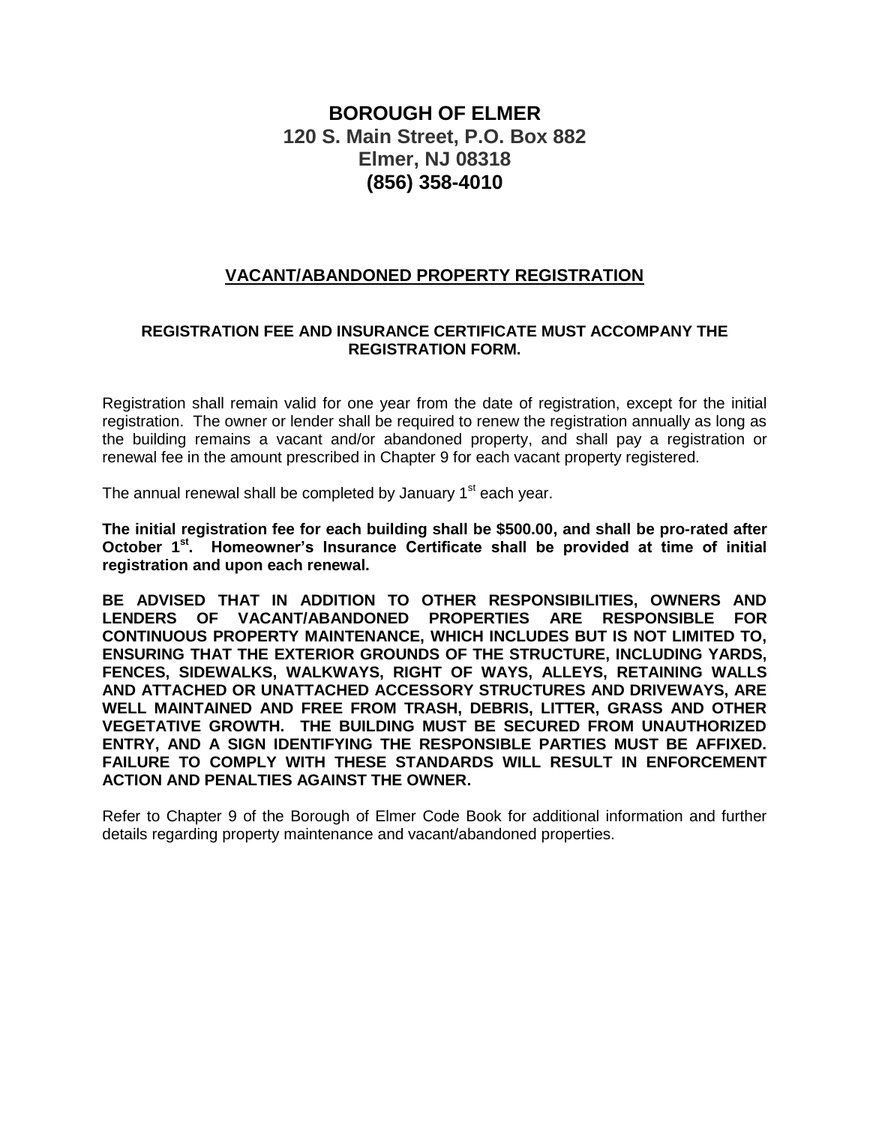# **BOROUGH OF ELMER 120 S. Main Street, P.O. Box 882 Elmer, NJ 08318 (856) 358-4010**

## **VACANT/ABANDONED PROPERTY REGISTRATION**

#### **REGISTRATION FEE AND INSURANCE CERTIFICATE MUST ACCOMPANY THE REGISTRATION FORM.**

Registration shall remain valid for one year from the date of registration, except for the initial registration. The owner or lender shall be required to renew the registration annually as long as the building remains a vacant and/or abandoned property, and shall pay a registration or renewal fee in the amount prescribed in Chapter 9 for each vacant property registered.

The annual renewal shall be completed by January 1<sup>st</sup> each year.

**The initial registration fee for each building shall be \$500.00, and shall be pro-rated after October 1st . Homeowner's Insurance Certificate shall be provided at time of initial registration and upon each renewal.**

**BE ADVISED THAT IN ADDITION TO OTHER RESPONSIBILITIES, OWNERS AND LENDERS OF VACANT/ABANDONED PROPERTIES ARE RESPONSIBLE FOR CONTINUOUS PROPERTY MAINTENANCE, WHICH INCLUDES BUT IS NOT LIMITED TO, ENSURING THAT THE EXTERIOR GROUNDS OF THE STRUCTURE, INCLUDING YARDS, FENCES, SIDEWALKS, WALKWAYS, RIGHT OF WAYS, ALLEYS, RETAINING WALLS AND ATTACHED OR UNATTACHED ACCESSORY STRUCTURES AND DRIVEWAYS, ARE WELL MAINTAINED AND FREE FROM TRASH, DEBRIS, LITTER, GRASS AND OTHER VEGETATIVE GROWTH. THE BUILDING MUST BE SECURED FROM UNAUTHORIZED ENTRY, AND A SIGN IDENTIFYING THE RESPONSIBLE PARTIES MUST BE AFFIXED. FAILURE TO COMPLY WITH THESE STANDARDS WILL RESULT IN ENFORCEMENT ACTION AND PENALTIES AGAINST THE OWNER.**

Refer to Chapter 9 of the Borough of Elmer Code Book for additional information and further details regarding property maintenance and vacant/abandoned properties.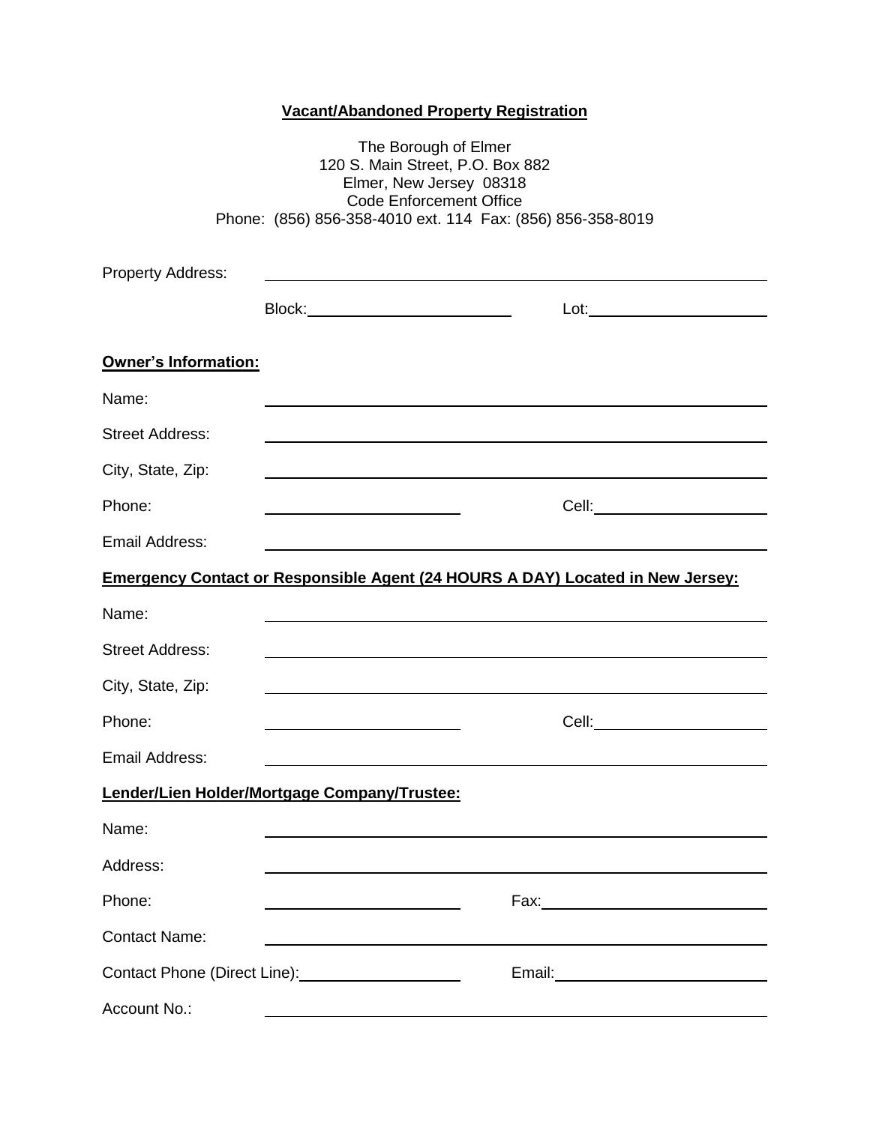## **Vacant/Abandoned Property Registration**

|                                                                                       | The Borough of Elmer<br>120 S. Main Street, P.O. Box 882<br>Elmer, New Jersey 08318<br><b>Code Enforcement Office</b><br>Phone: (856) 856-358-4010 ext. 114 Fax: (856) 856-358-8019 |                                                                                                                         |  |  |  |
|---------------------------------------------------------------------------------------|-------------------------------------------------------------------------------------------------------------------------------------------------------------------------------------|-------------------------------------------------------------------------------------------------------------------------|--|--|--|
|                                                                                       |                                                                                                                                                                                     |                                                                                                                         |  |  |  |
| <b>Property Address:</b>                                                              |                                                                                                                                                                                     |                                                                                                                         |  |  |  |
| <b>Owner's Information:</b>                                                           |                                                                                                                                                                                     |                                                                                                                         |  |  |  |
| Name:                                                                                 |                                                                                                                                                                                     |                                                                                                                         |  |  |  |
| <b>Street Address:</b>                                                                |                                                                                                                                                                                     |                                                                                                                         |  |  |  |
| City, State, Zip:                                                                     |                                                                                                                                                                                     |                                                                                                                         |  |  |  |
| Phone:                                                                                |                                                                                                                                                                                     | Cell: <b>Cell</b> Service and Cell Service and Cell Service and Cell Service and Cell Service and Cell Service and Cell |  |  |  |
| Email Address:                                                                        |                                                                                                                                                                                     |                                                                                                                         |  |  |  |
| <b>Emergency Contact or Responsible Agent (24 HOURS A DAY) Located in New Jersey:</b> |                                                                                                                                                                                     |                                                                                                                         |  |  |  |
| Name:                                                                                 |                                                                                                                                                                                     |                                                                                                                         |  |  |  |
| <b>Street Address:</b>                                                                |                                                                                                                                                                                     |                                                                                                                         |  |  |  |
| City, State, Zip:                                                                     |                                                                                                                                                                                     |                                                                                                                         |  |  |  |
| Phone:                                                                                |                                                                                                                                                                                     | Cell: <u>__________________</u>                                                                                         |  |  |  |
| Email Address:                                                                        |                                                                                                                                                                                     |                                                                                                                         |  |  |  |
|                                                                                       | Lender/Lien Holder/Mortgage Company/Trustee:                                                                                                                                        |                                                                                                                         |  |  |  |
| Name:                                                                                 |                                                                                                                                                                                     |                                                                                                                         |  |  |  |
| Address:                                                                              |                                                                                                                                                                                     |                                                                                                                         |  |  |  |
| Phone:                                                                                |                                                                                                                                                                                     |                                                                                                                         |  |  |  |
| <b>Contact Name:</b>                                                                  |                                                                                                                                                                                     |                                                                                                                         |  |  |  |
|                                                                                       |                                                                                                                                                                                     | Email: 2008 2010 2010 2011 2022 2023 2024 2022 2022 2023 2024 2022 2023 2024 2022 2023 2024 2025 2026 2027 20           |  |  |  |
| Account No.:                                                                          |                                                                                                                                                                                     |                                                                                                                         |  |  |  |